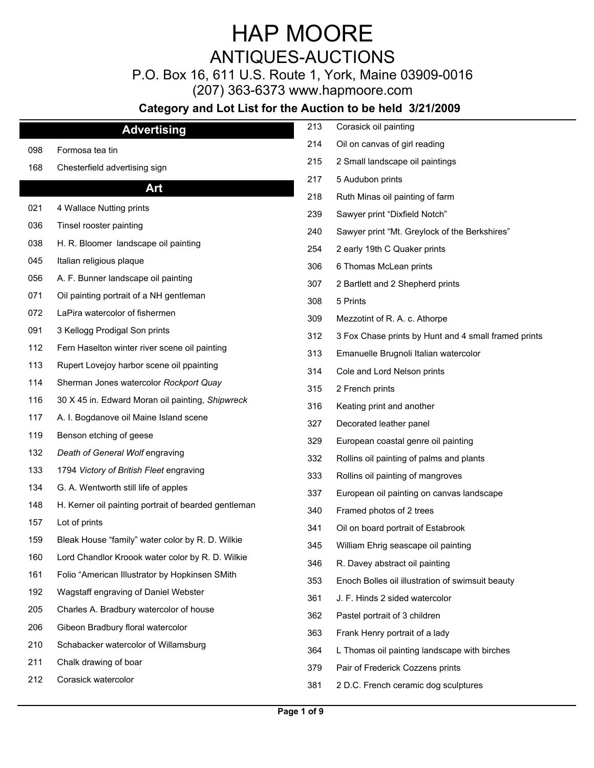## ANTIQUES-AUCTIONS

P.O. Box 16, 611 U.S. Route 1, York, Maine 03909-0016

(207) 363-6373 www.hapmoore.com

|     | <b>Advertising</b>                                   | 213 | Corasick oil painting                                |
|-----|------------------------------------------------------|-----|------------------------------------------------------|
| 098 | Formosa tea tin                                      | 214 | Oil on canvas of girl reading                        |
| 168 | Chesterfield advertising sign                        | 215 | 2 Small landscape oil paintings                      |
|     | Art                                                  | 217 | 5 Audubon prints                                     |
|     |                                                      | 218 | Ruth Minas oil painting of farm                      |
| 021 | 4 Wallace Nutting prints                             | 239 | Sawyer print "Dixfield Notch"                        |
| 036 | Tinsel rooster painting                              | 240 | Sawyer print "Mt. Greylock of the Berkshires"        |
| 038 | H. R. Bloomer landscape oil painting                 | 254 | 2 early 19th C Quaker prints                         |
| 045 | Italian religious plaque                             | 306 | 6 Thomas McLean prints                               |
| 056 | A. F. Bunner landscape oil painting                  | 307 | 2 Bartlett and 2 Shepherd prints                     |
| 071 | Oil painting portrait of a NH gentleman              | 308 | 5 Prints                                             |
| 072 | LaPira watercolor of fishermen                       | 309 | Mezzotint of R. A. c. Athorpe                        |
| 091 | 3 Kellogg Prodigal Son prints                        | 312 | 3 Fox Chase prints by Hunt and 4 small framed prints |
| 112 | Fern Haselton winter river scene oil painting        | 313 | Emanuelle Brugnoli Italian watercolor                |
| 113 | Rupert Lovejoy harbor scene oil ppainting            | 314 | Cole and Lord Nelson prints                          |
| 114 | Sherman Jones watercolor Rockport Quay               | 315 | 2 French prints                                      |
| 116 | 30 X 45 in. Edward Moran oil painting, Shipwreck     | 316 | Keating print and another                            |
| 117 | A. I. Bogdanove oil Maine Island scene               | 327 | Decorated leather panel                              |
| 119 | Benson etching of geese                              | 329 | European coastal genre oil painting                  |
| 132 | Death of General Wolf engraving                      | 332 | Rollins oil painting of palms and plants             |
| 133 | 1794 Victory of British Fleet engraving              | 333 | Rollins oil painting of mangroves                    |
| 134 | G. A. Wentworth still life of apples                 | 337 | European oil painting on canvas landscape            |
| 148 | H. Kerner oil painting portrait of bearded gentleman | 340 | Framed photos of 2 trees                             |
| 157 | Lot of prints                                        | 341 | Oil on board portrait of Estabrook                   |
| 159 | Bleak House "family" water color by R. D. Wilkie     | 345 | William Ehrig seascape oil painting                  |
| 160 | Lord Chandlor Kroook water color by R. D. Wilkie     | 346 | R. Davey abstract oil painting                       |
| 161 | Folio "American Illustrator by Hopkinsen SMith       | 353 | Enoch Bolles oil illustration of swimsuit beauty     |
| 192 | Wagstaff engraving of Daniel Webster                 | 361 | J. F. Hinds 2 sided watercolor                       |
| 205 | Charles A. Bradbury watercolor of house              | 362 | Pastel portrait of 3 children                        |
| 206 | Gibeon Bradbury floral watercolor                    |     |                                                      |
| 210 | Schabacker watercolor of Willamsburg                 | 363 | Frank Henry portrait of a lady                       |
| 211 | Chalk drawing of boar                                | 364 | L Thomas oil painting landscape with birches         |
| 212 | Corasick watercolor                                  | 379 | Pair of Frederick Cozzens prints                     |
|     |                                                      | 381 | 2 D.C. French ceramic dog sculptures                 |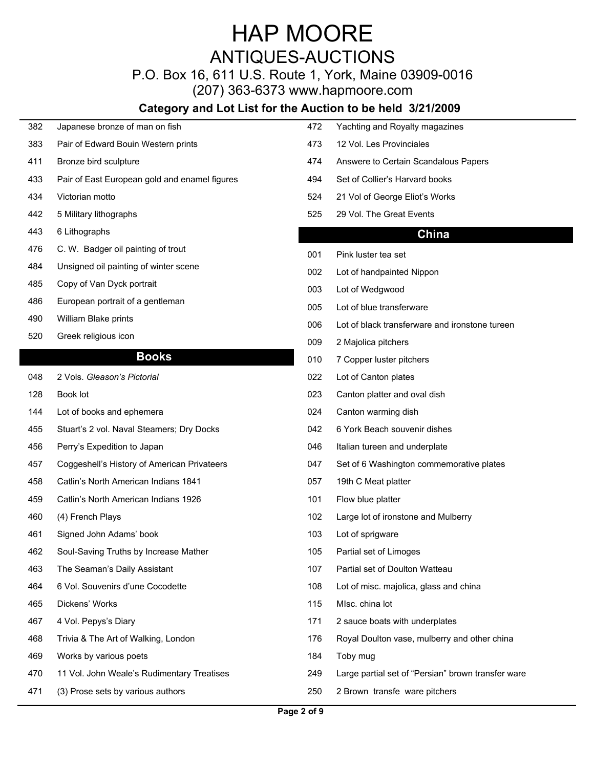### ANTIQUES-AUCTIONS

### P.O. Box 16, 611 U.S. Route 1, York, Maine 03909-0016

(207) 363-6373 www.hapmoore.com

#### **Category and Lot List for the Auction to be held 3/21/2009**

| 382 | Japanese bronze of man on fish |  |  |
|-----|--------------------------------|--|--|
|     |                                |  |  |

- 383 Pair of Edward Bouin Western prints 118.000 1173
- 
- 433 Pair of East European gold and enamel figures 194.
- 
- 
- 443 6 Lithographs 117.00
- 476 C. W. Badger oil painting of trout 117.000 minutes of the 117.000 minutes of the 117.000 minutes of the 1
- 484 Unsigned oil painting of winter scene<br>002
- 485 Copy of Van Dyck portrait 117.000 and 117.000 copy of Vedgwood
- 486 European portrait of a gentleman 117.0005
- 
- 520 Greek religious icon 117.000 and 117.000 and 117.000 and 117.000 and 117.000 and 117.000 and 117.000 and 1

#### **Books**

- 048 2 Vols. *Gleason's Pictorial* 117.00 022 Lot of Canton plates 117.00
- 
- 144 Lot of books and ephemera 1144 Dollary 124.
- 455 Stuart's 2 vol. Naval Steamers; Dry Docks 117.000 1042
- 456 Perry's Expedition to Japan 117.00
- 457 Coggeshell's History of American Privateers 117.000 047
- 458 Catlin's North American Indians 1841 1180 1057 19th C Meat platter
- 459 Catlin's North American Indians 1926 117.00
- 
- 461 Signed John Adams' book 103 Lot of sprigware
- 462 Soul-Saving Truths by Increase Mather 105
- 463 The Seaman's Daily Assistant 107
- 
- 465 Dickens' Works 117.00
- 
- 
- 469 Works by various poets 184 Toby mug
- 
- 471 (3) Prose sets by various authors 117.000 mm and 1250
- 382 Japanese bronze of man on fish 117.00 472 Yachting and Royalty magazines 117.00 411 Bronze bird sculpture 117.000 million was to the 1174 Answere to Certain Scandalous Papers 434 Victorian motto 117.00 524 21 Vol of George Eliot's Works 117.00 12 Vol. Les Provinciales Set of Collier's Harvard books
- 442 5 Military lithographs 117.00 in the Same 117.000 in the State of S25 29 Vol. The Great Events 117.000 in the Great Events 117.000 in the Great Events 117.000 in the Great Events 117.000 in the Great Events 117.000 in

#### **China**

- 001 Pink luster tea set 117.000 metal 117.000 metal 117.000 metal 117.000 metal 1
- Lot of handpainted Nippon
- 003 Lot of Wedgwood 117.000 and 117.000 and 117.000 and 117.000 and 117.000 and 117.000 and 117.000 and 117.000 and 117.000 and 117.000 and 117.000 and 117.000 and 117.000 and 117.000 and 117.000 and 117.000 and 117.000 an
- Lot of blue transferware
- 490 William Blake prints 117.000 Controller to the United States of Dack transferware and ironstone tureen 117
	- 009 2 Majolica pitchers 117.000 metals and the 200 metals of 200 metals and 200 metals and 200 metals and 200 metals and 200 metals and 200 metals and 200 metals and 200 metals and 200 metals and 200 metals and 200 metals
	- 010 7 Copper luster pitchers
	-
- 128 Book lot 117.00 in the 117.00 method of the 117.000 method of 117.000 method oval dish 117.000 method oval dish
	- Canton warming dish
	- 6 York Beach souvenir dishes
	- Italian tureen and underplate
	- Set of 6 Washington commemorative plates
	- 057 19th C Meat platter 117.000 measures 117.000 measures 117.000 measures 117.000 measures 117.000 measures 1
	- 101 Flow blue platter 117.000 Figures 117.000 Figures 117.000 Figures 117.000 Figures 117.000 Figures 117.000
- 460 (4) French Plays 102 Large lot of ironstone and Mulberry 117.000 and Mulberry
	- 103 Lot of sprigware 117.000 and 117.000 and 117.000 and 117.000 and 117.000 and 117.000 and 117.000 and 117.000 and 117.000 and 117.000 and 117.000 and 117.000 and 117.000 and 117.000 and 117.000 and 117.000 and 117.000 a
	- Partial set of Limoges
	- Partial set of Doulton Watteau
- 464 6 Vol. Souvenirs d'une Cocodette 108 Lot of misc. majolica, glass and china
	- 115 MIsc. china lot
- 467 4 Vol. Pepys's Diary 171 2 sauce boats with underplates
- 468 Trivia & The Art of Walking, London 176 Royal Doulton vase, mulberry and other china
	- 184 Toby mug and the state of the state of the state of the state of the state of the state of the state of the state of the state of the state of the state of the state of the state of the state of the state of the state
- 470 11 Vol. John Weale's Rudimentary Treatises 249 Large partial set of "Persian" brown transfer ware
	- 2 Brown transfe ware pitchers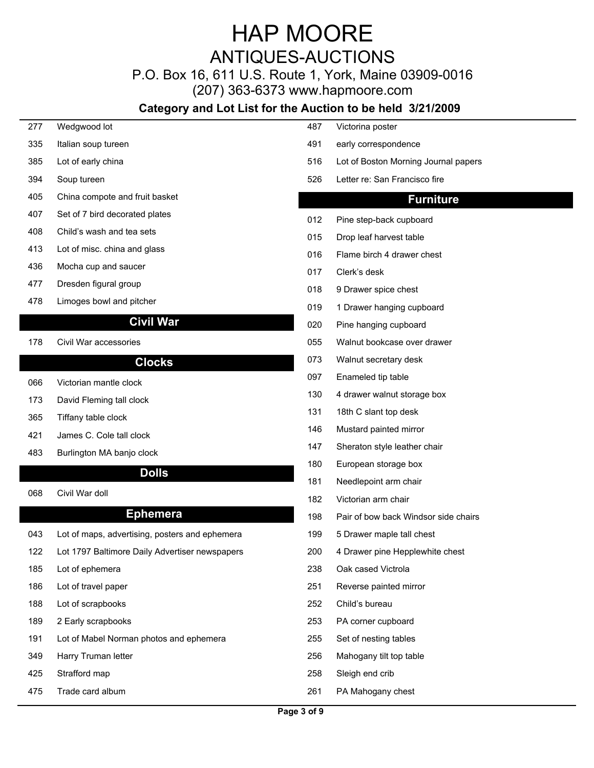## ANTIQUES-AUCTIONS

### P.O. Box 16, 611 U.S. Route 1, York, Maine 03909-0016

(207) 363-6373 www.hapmoore.com

| 277        | Wedgwood lot                                   | 487 | Victorina poster                     |
|------------|------------------------------------------------|-----|--------------------------------------|
| 335        | Italian soup tureen                            | 491 | early correspondence                 |
| 385        | Lot of early china                             | 516 | Lot of Boston Morning Journal papers |
| 394        | Soup tureen                                    | 526 | Letter re: San Francisco fire        |
| 405        | China compote and fruit basket                 |     | <b>Furniture</b>                     |
| 407        | Set of 7 bird decorated plates                 | 012 | Pine step-back cupboard              |
| 408        | Child's wash and tea sets                      | 015 | Drop leaf harvest table              |
| 413        | Lot of misc. china and glass                   | 016 | Flame birch 4 drawer chest           |
| 436        | Mocha cup and saucer                           | 017 | Clerk's desk                         |
| 477        | Dresden figural group                          | 018 | 9 Drawer spice chest                 |
| 478        | Limoges bowl and pitcher                       | 019 | 1 Drawer hanging cupboard            |
|            | <b>Civil War</b>                               | 020 | Pine hanging cupboard                |
| 178        | Civil War accessories                          | 055 | Walnut bookcase over drawer          |
|            | <b>Clocks</b>                                  | 073 | Walnut secretary desk                |
|            | Victorian mantle clock                         | 097 | Enameled tip table                   |
| 066<br>173 | David Fleming tall clock                       | 130 | 4 drawer walnut storage box          |
| 365        | Tiffany table clock                            | 131 | 18th C slant top desk                |
| 421        | James C. Cole tall clock                       | 146 | Mustard painted mirror               |
| 483        | Burlington MA banjo clock                      | 147 | Sheraton style leather chair         |
|            |                                                | 180 | European storage box                 |
|            | <b>Dolls</b>                                   | 181 | Needlepoint arm chair                |
| 068        | Civil War doll                                 | 182 | Victorian arm chair                  |
|            | <b>Ephemera</b>                                | 198 | Pair of bow back Windsor side chairs |
| 043        | Lot of maps, advertising, posters and ephemera | 199 | 5 Drawer maple tall chest            |
| 122        | Lot 1797 Baltimore Daily Advertiser newspapers | 200 | 4 Drawer pine Hepplewhite chest      |
| 185        | Lot of ephemera                                | 238 | Oak cased Victrola                   |
| 186        | Lot of travel paper                            | 251 | Reverse painted mirror               |
| 188        | Lot of scrapbooks                              | 252 | Child's bureau                       |
| 189        | 2 Early scrapbooks                             | 253 | PA corner cupboard                   |
| 191        | Lot of Mabel Norman photos and ephemera        | 255 | Set of nesting tables                |
| 349        | Harry Truman letter                            | 256 | Mahogany tilt top table              |
| 425        | Strafford map                                  | 258 | Sleigh end crib                      |
| 475        | Trade card album                               | 261 | PA Mahogany chest                    |
|            |                                                |     |                                      |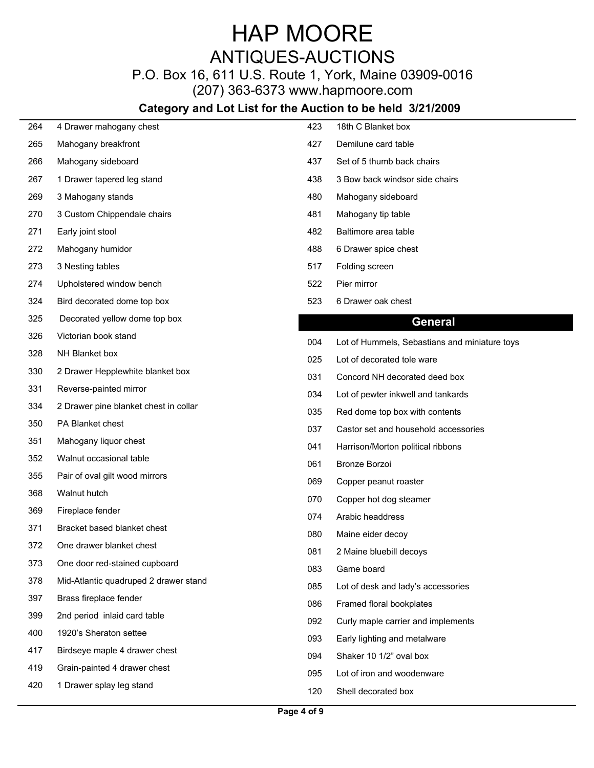## ANTIQUES-AUCTIONS

### P.O. Box 16, 611 U.S. Route 1, York, Maine 03909-0016

(207) 363-6373 www.hapmoore.com

| 264 | 4 Drawer mahogany chest               | 423 | 18th C Blanket box                            |
|-----|---------------------------------------|-----|-----------------------------------------------|
| 265 | Mahogany breakfront                   | 427 | Demilune card table                           |
| 266 | Mahogany sideboard                    | 437 | Set of 5 thumb back chairs                    |
| 267 | 1 Drawer tapered leg stand            | 438 | 3 Bow back windsor side chairs                |
| 269 | 3 Mahogany stands                     | 480 | Mahogany sideboard                            |
| 270 | 3 Custom Chippendale chairs           | 481 | Mahogany tip table                            |
| 271 | Early joint stool                     | 482 | Baltimore area table                          |
| 272 | Mahogany humidor                      | 488 | 6 Drawer spice chest                          |
| 273 | 3 Nesting tables                      | 517 | Folding screen                                |
| 274 | Upholstered window bench              | 522 | Pier mirror                                   |
| 324 | Bird decorated dome top box           | 523 | 6 Drawer oak chest                            |
| 325 | Decorated yellow dome top box         |     | <b>General</b>                                |
| 326 | Victorian book stand                  | 004 | Lot of Hummels, Sebastians and miniature toys |
| 328 | NH Blanket box                        | 025 | Lot of decorated tole ware                    |
| 330 | 2 Drawer Hepplewhite blanket box      | 031 | Concord NH decorated deed box                 |
| 331 | Reverse-painted mirror                | 034 | Lot of pewter inkwell and tankards            |
| 334 | 2 Drawer pine blanket chest in collar | 035 | Red dome top box with contents                |
| 350 | PA Blanket chest                      | 037 | Castor set and household accessories          |
| 351 | Mahogany liquor chest                 | 041 | Harrison/Morton political ribbons             |
| 352 | Walnut occasional table               | 061 | Bronze Borzoi                                 |
| 355 | Pair of oval gilt wood mirrors        | 069 | Copper peanut roaster                         |
| 368 | Walnut hutch                          | 070 | Copper hot dog steamer                        |
| 369 | Fireplace fender                      | 074 | Arabic headdress                              |
| 371 | Bracket based blanket chest           | 080 | Maine eider decoy                             |
| 372 | One drawer blanket chest              | 081 | 2 Maine bluebill decoys                       |
| 373 | One door red-stained cupboard         | 083 | Game board                                    |
| 378 | Mid-Atlantic quadruped 2 drawer stand | 085 | Lot of desk and lady's accessories            |
| 397 | Brass fireplace fender                | 086 | Framed floral bookplates                      |
| 399 | 2nd period inlaid card table          | 092 | Curly maple carrier and implements            |
| 400 | 1920's Sheraton settee                | 093 | Early lighting and metalware                  |
| 417 | Birdseye maple 4 drawer chest         | 094 | Shaker 10 1/2" oval box                       |
| 419 | Grain-painted 4 drawer chest          | 095 | Lot of iron and woodenware                    |
| 420 | 1 Drawer splay leg stand              | 120 | Shell decorated box                           |
|     |                                       |     |                                               |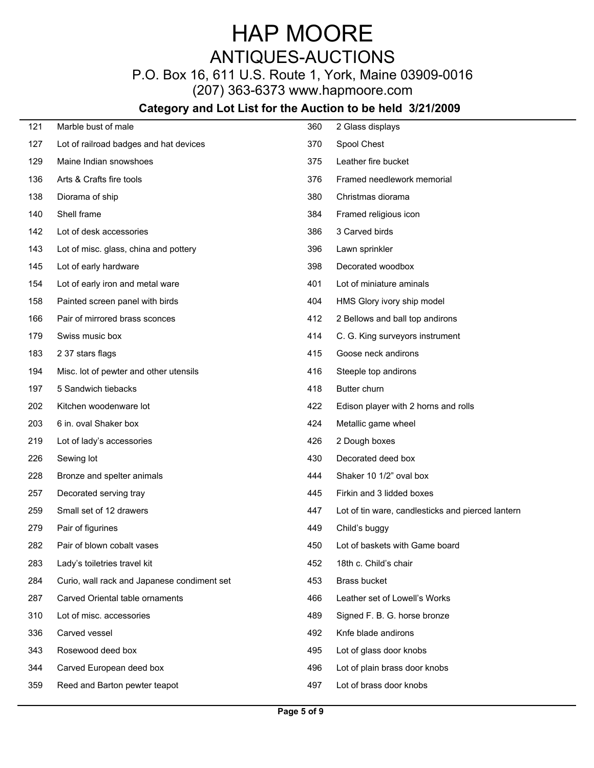### ANTIQUES-AUCTIONS

P.O. Box 16, 611 U.S. Route 1, York, Maine 03909-0016

(207) 363-6373 www.hapmoore.com

| 121 | Marble bust of male                         | 360 | 2 Glass displays                                  |
|-----|---------------------------------------------|-----|---------------------------------------------------|
| 127 | Lot of railroad badges and hat devices      | 370 | Spool Chest                                       |
| 129 | Maine Indian snowshoes                      | 375 | Leather fire bucket                               |
| 136 | Arts & Crafts fire tools                    | 376 | Framed needlework memorial                        |
| 138 | Diorama of ship                             | 380 | Christmas diorama                                 |
| 140 | Shell frame                                 | 384 | Framed religious icon                             |
| 142 | Lot of desk accessories                     | 386 | 3 Carved birds                                    |
| 143 | Lot of misc. glass, china and pottery       | 396 | Lawn sprinkler                                    |
| 145 | Lot of early hardware                       | 398 | Decorated woodbox                                 |
| 154 | Lot of early iron and metal ware            | 401 | Lot of miniature aminals                          |
| 158 | Painted screen panel with birds             | 404 | HMS Glory ivory ship model                        |
| 166 | Pair of mirrored brass sconces              | 412 | 2 Bellows and ball top andirons                   |
| 179 | Swiss music box                             | 414 | C. G. King surveyors instrument                   |
| 183 | 2 37 stars flags                            | 415 | Goose neck andirons                               |
| 194 | Misc. lot of pewter and other utensils      | 416 | Steeple top andirons                              |
| 197 | 5 Sandwich tiebacks                         | 418 | Butter churn                                      |
| 202 | Kitchen woodenware lot                      | 422 | Edison player with 2 horns and rolls              |
| 203 | 6 in. oval Shaker box                       | 424 | Metallic game wheel                               |
| 219 | Lot of lady's accessories                   | 426 | 2 Dough boxes                                     |
| 226 | Sewing lot                                  | 430 | Decorated deed box                                |
| 228 | Bronze and spelter animals                  | 444 | Shaker 10 1/2" oval box                           |
| 257 | Decorated serving tray                      | 445 | Firkin and 3 lidded boxes                         |
| 259 | Small set of 12 drawers                     | 447 | Lot of tin ware, candlesticks and pierced lantern |
| 279 | Pair of figurines                           | 449 | Child's buggy                                     |
| 282 | Pair of blown cobalt vases                  | 450 | Lot of baskets with Game board                    |
| 283 | Lady's toiletries travel kit                | 452 | 18th c. Child's chair                             |
| 284 | Curio, wall rack and Japanese condiment set | 453 | <b>Brass bucket</b>                               |
| 287 | Carved Oriental table ornaments             | 466 | Leather set of Lowell's Works                     |
| 310 | Lot of misc. accessories                    | 489 | Signed F. B. G. horse bronze                      |
| 336 | Carved vessel                               | 492 | Knfe blade andirons                               |
| 343 | Rosewood deed box                           | 495 | Lot of glass door knobs                           |
| 344 | Carved European deed box                    | 496 | Lot of plain brass door knobs                     |
| 359 | Reed and Barton pewter teapot               | 497 | Lot of brass door knobs                           |
|     |                                             |     |                                                   |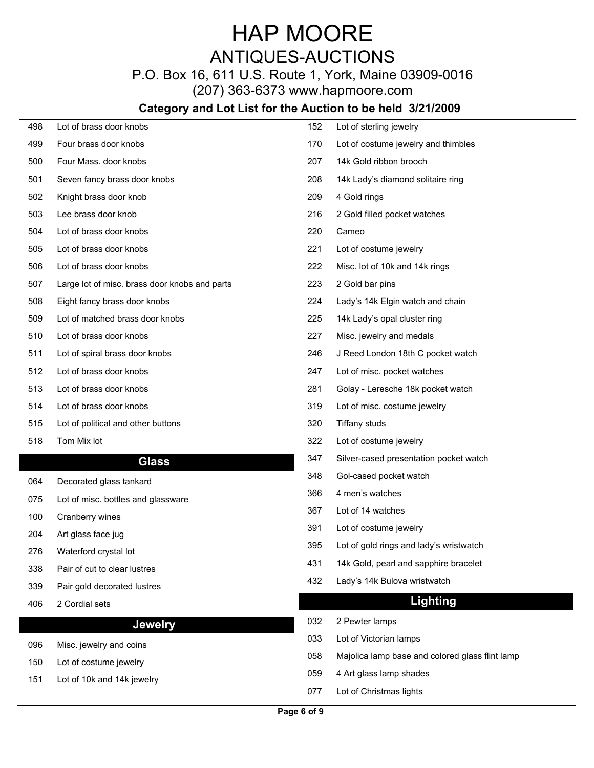## ANTIQUES-AUCTIONS

### P.O. Box 16, 611 U.S. Route 1, York, Maine 03909-0016

(207) 363-6373 www.hapmoore.com

| 498 | Lot of brass door knobs                       | 152 | Lot of sterling jewelry                         |
|-----|-----------------------------------------------|-----|-------------------------------------------------|
| 499 | Four brass door knobs                         | 170 | Lot of costume jewelry and thimbles             |
| 500 | Four Mass. door knobs                         | 207 | 14k Gold ribbon brooch                          |
| 501 | Seven fancy brass door knobs                  | 208 | 14k Lady's diamond solitaire ring               |
| 502 | Knight brass door knob                        | 209 | 4 Gold rings                                    |
| 503 | Lee brass door knob                           | 216 | 2 Gold filled pocket watches                    |
| 504 | Lot of brass door knobs                       | 220 | Cameo                                           |
| 505 | Lot of brass door knobs                       | 221 | Lot of costume jewelry                          |
| 506 | Lot of brass door knobs                       | 222 | Misc. lot of 10k and 14k rings                  |
| 507 | Large lot of misc. brass door knobs and parts | 223 | 2 Gold bar pins                                 |
| 508 | Eight fancy brass door knobs                  | 224 | Lady's 14k Elgin watch and chain                |
| 509 | Lot of matched brass door knobs               | 225 | 14k Lady's opal cluster ring                    |
| 510 | Lot of brass door knobs                       | 227 | Misc. jewelry and medals                        |
| 511 | Lot of spiral brass door knobs                | 246 | J Reed London 18th C pocket watch               |
| 512 | Lot of brass door knobs                       | 247 | Lot of misc. pocket watches                     |
| 513 | Lot of brass door knobs                       | 281 | Golay - Leresche 18k pocket watch               |
| 514 | Lot of brass door knobs                       | 319 | Lot of misc. costume jewelry                    |
| 515 | Lot of political and other buttons            | 320 | <b>Tiffany studs</b>                            |
| 518 | Tom Mix lot                                   | 322 | Lot of costume jewelry                          |
|     | <b>Glass</b>                                  | 347 | Silver-cased presentation pocket watch          |
| 064 | Decorated glass tankard                       | 348 | Gol-cased pocket watch                          |
| 075 | Lot of misc. bottles and glassware            | 366 | 4 men's watches                                 |
| 100 | Cranberry wines                               | 367 | Lot of 14 watches                               |
| 204 | Art glass face jug                            | 391 | Lot of costume jewelry                          |
| 276 | Waterford crystal lot                         | 395 | Lot of gold rings and lady's wristwatch         |
| 338 | Pair of cut to clear lustres                  | 431 | 14k Gold, pearl and sapphire bracelet           |
| 339 | Pair gold decorated lustres                   | 432 | Lady's 14k Bulova wristwatch                    |
| 406 | 2 Cordial sets                                |     | <b>Lighting</b>                                 |
|     | Jewelry                                       | 032 | 2 Pewter lamps                                  |
|     |                                               | 033 | Lot of Victorian lamps                          |
| 096 | Misc. jewelry and coins                       | 058 | Majolica lamp base and colored glass flint lamp |
| 150 | Lot of costume jewelry                        | 059 | 4 Art glass lamp shades                         |
| 151 | Lot of 10k and 14k jewelry                    | 077 | Lot of Christmas lights                         |
|     |                                               |     |                                                 |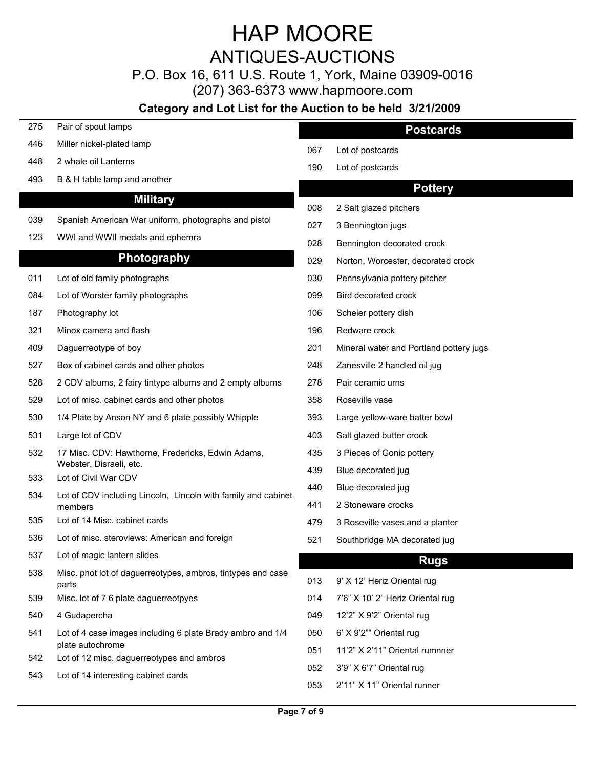### ANTIQUES-AUCTIONS

P.O. Box 16, 611 U.S. Route 1, York, Maine 03909-0016

(207) 363-6373 www.hapmoore.com

| 275 | Pair of spout lamps                                                            |            | <b>Postcards</b>                                        |
|-----|--------------------------------------------------------------------------------|------------|---------------------------------------------------------|
| 446 | Miller nickel-plated lamp                                                      | 067        | Lot of postcards                                        |
| 448 | 2 whale oil Lanterns                                                           | 190        | Lot of postcards                                        |
| 493 | B & H table lamp and another                                                   |            | <b>Pottery</b>                                          |
|     | <b>Military</b>                                                                |            |                                                         |
| 039 | Spanish American War uniform, photographs and pistol                           | 008        | 2 Salt glazed pitchers                                  |
| 123 | WWI and WWII medals and ephemra                                                | 027        | 3 Bennington jugs                                       |
|     | Photography                                                                    | 028        | Bennington decorated crock                              |
|     |                                                                                | 029        | Norton, Worcester, decorated crock                      |
| 011 | Lot of old family photographs                                                  | 030        | Pennsylvania pottery pitcher                            |
| 084 | Lot of Worster family photographs                                              | 099        | Bird decorated crock                                    |
| 187 | Photography lot                                                                | 106        | Scheier pottery dish                                    |
| 321 | Minox camera and flash                                                         | 196        | Redware crock                                           |
| 409 | Daguerreotype of boy                                                           | 201        | Mineral water and Portland pottery jugs                 |
| 527 | Box of cabinet cards and other photos                                          | 248        | Zanesville 2 handled oil jug                            |
| 528 | 2 CDV albums, 2 fairy tintype albums and 2 empty albums                        | 278        | Pair ceramic urns                                       |
| 529 | Lot of misc. cabinet cards and other photos                                    | 358        | Roseville vase                                          |
| 530 | 1/4 Plate by Anson NY and 6 plate possibly Whipple                             | 393        | Large yellow-ware batter bowl                           |
| 531 | Large lot of CDV                                                               | 403        | Salt glazed butter crock                                |
| 532 | 17 Misc. CDV: Hawthorne, Fredericks, Edwin Adams,                              | 435        | 3 Pieces of Gonic pottery                               |
| 533 | Webster, Disraeli, etc.<br>Lot of Civil War CDV                                | 439        | Blue decorated jug                                      |
| 534 | Lot of CDV including Lincoln, Lincoln with family and cabinet                  | 440        | Blue decorated jug                                      |
|     | members                                                                        | 441        | 2 Stoneware crocks                                      |
| 535 | Lot of 14 Misc. cabinet cards                                                  | 479        | 3 Roseville vases and a planter                         |
| 536 | Lot of misc. steroviews: American and foreign                                  | 521        | Southbridge MA decorated jug                            |
| 537 | Lot of magic lantern slides                                                    |            | <b>Rugs</b>                                             |
| 538 | Misc. phot lot of daguerreotypes, ambros, tintypes and case<br>parts           | 013        | 9' X 12' Heriz Oriental rug                             |
| 539 | Misc. lot of 7 6 plate daguerreotpyes                                          | 014        | 7'6" X 10' 2" Heriz Oriental rug                        |
| 540 | 4 Gudapercha                                                                   | 049        | 12'2" X 9'2" Oriental rug                               |
| 541 | Lot of 4 case images including 6 plate Brady ambro and 1/4<br>plate autochrome | 050        | 6' X 9'2"" Oriental rug                                 |
| 542 | Lot of 12 misc. daguerreotypes and ambros                                      | 051        | 11'2" X 2'11" Oriental rumnner                          |
| 543 | Lot of 14 interesting cabinet cards                                            | 052<br>053 | 3'9" X 6'7" Oriental rug<br>2'11" X 11" Oriental runner |
|     |                                                                                |            |                                                         |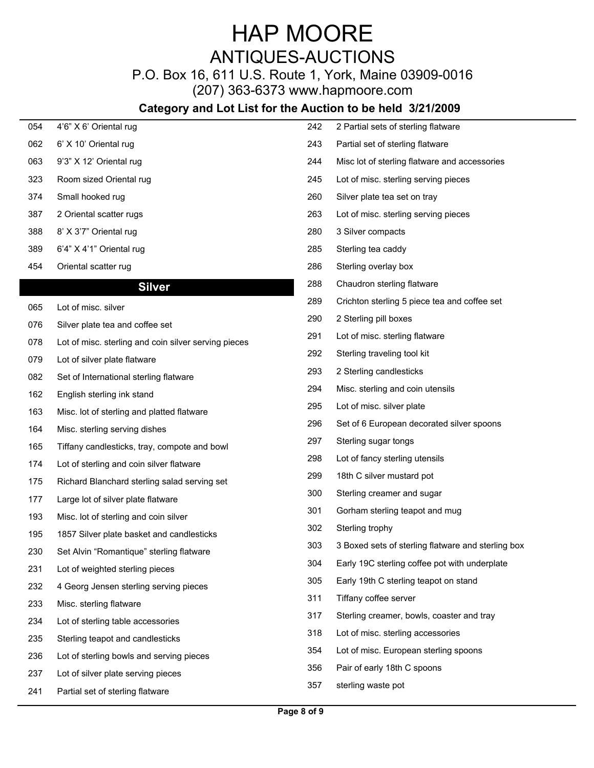## ANTIQUES-AUCTIONS

### P.O. Box 16, 611 U.S. Route 1, York, Maine 03909-0016

(207) 363-6373 www.hapmoore.com

| 054 | 4'6" X 6' Oriental rug                               | 242 | 2 Partial sets of sterling flatware                |
|-----|------------------------------------------------------|-----|----------------------------------------------------|
| 062 | 6' X 10' Oriental rug                                | 243 | Partial set of sterling flatware                   |
| 063 | 9'3" X 12' Oriental rug                              | 244 | Misc lot of sterling flatware and accessories      |
| 323 | Room sized Oriental rug                              | 245 | Lot of misc. sterling serving pieces               |
| 374 | Small hooked rug                                     | 260 | Silver plate tea set on tray                       |
| 387 | 2 Oriental scatter rugs                              | 263 | Lot of misc. sterling serving pieces               |
| 388 | 8' X 3'7" Oriental rug                               | 280 | 3 Silver compacts                                  |
| 389 | 6'4" X 4'1" Oriental rug                             | 285 | Sterling tea caddy                                 |
| 454 | Oriental scatter rug                                 | 286 | Sterling overlay box                               |
|     | <b>Silver</b>                                        | 288 | Chaudron sterling flatware                         |
| 065 | Lot of misc. silver                                  | 289 | Crichton sterling 5 piece tea and coffee set       |
| 076 | Silver plate tea and coffee set                      | 290 | 2 Sterling pill boxes                              |
| 078 | Lot of misc. sterling and coin silver serving pieces | 291 | Lot of misc. sterling flatware                     |
| 079 | Lot of silver plate flatware                         | 292 | Sterling traveling tool kit                        |
| 082 | Set of International sterling flatware               | 293 | 2 Sterling candlesticks                            |
| 162 | English sterling ink stand                           | 294 | Misc. sterling and coin utensils                   |
| 163 | Misc. lot of sterling and platted flatware           | 295 | Lot of misc. silver plate                          |
| 164 | Misc. sterling serving dishes                        | 296 | Set of 6 European decorated silver spoons          |
| 165 | Tiffany candlesticks, tray, compote and bowl         | 297 | Sterling sugar tongs                               |
| 174 | Lot of sterling and coin silver flatware             | 298 | Lot of fancy sterling utensils                     |
| 175 | Richard Blanchard sterling salad serving set         | 299 | 18th C silver mustard pot                          |
| 177 | Large lot of silver plate flatware                   | 300 | Sterling creamer and sugar                         |
| 193 | Misc. lot of sterling and coin silver                | 301 | Gorham sterling teapot and mug                     |
| 195 | 1857 Silver plate basket and candlesticks            | 302 | Sterling trophy                                    |
| 230 | Set Alvin "Romantique" sterling flatware             | 303 | 3 Boxed sets of sterling flatware and sterling box |
| 231 | Lot of weighted sterling pieces                      | 304 | Early 19C sterling coffee pot with underplate      |
| 232 | 4 Georg Jensen sterling serving pieces               | 305 | Early 19th C sterling teapot on stand              |
| 233 | Misc. sterling flatware                              | 311 | Tiffany coffee server                              |
| 234 | Lot of sterling table accessories                    | 317 | Sterling creamer, bowls, coaster and tray          |
| 235 | Sterling teapot and candlesticks                     | 318 | Lot of misc. sterling accessories                  |
| 236 | Lot of sterling bowls and serving pieces             | 354 | Lot of misc. European sterling spoons              |
| 237 | Lot of silver plate serving pieces                   | 356 | Pair of early 18th C spoons                        |
| 241 | Partial set of sterling flatware                     | 357 | sterling waste pot                                 |
|     |                                                      |     |                                                    |